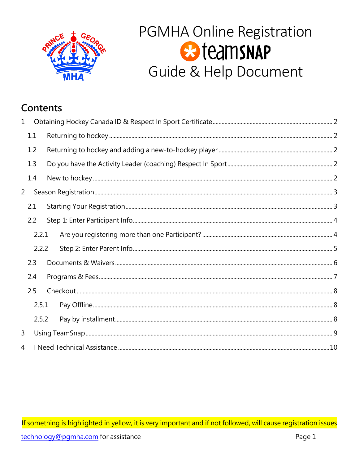

# PGMHA Online Registration **B**teamsNAP Guide & Help Document

# Contents

| $\mathbf 1$      |       |  |  |
|------------------|-------|--|--|
|                  | 1.1   |  |  |
|                  | 1.2   |  |  |
|                  | 1.3   |  |  |
|                  | 1.4   |  |  |
| $2 \overline{ }$ |       |  |  |
|                  | 2.1   |  |  |
|                  | 2.2   |  |  |
|                  | 2.2.1 |  |  |
|                  | 2.2.2 |  |  |
|                  | 2.3   |  |  |
|                  | 2.4   |  |  |
|                  | 2.5   |  |  |
|                  | 2.5.1 |  |  |
|                  | 2.5.2 |  |  |
| 3                |       |  |  |
| 4                |       |  |  |

If something is highlighted in yellow, it is very important and if not followed, will cause registration issues technology@pgmha.com for assistance Page 1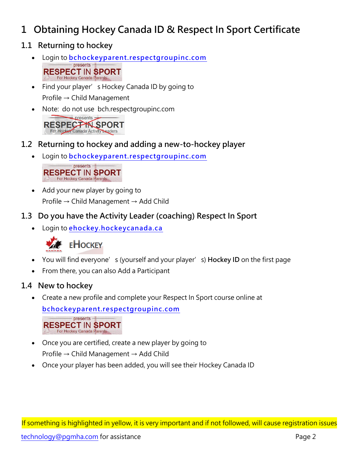# <span id="page-1-0"></span>**1 Obtaining Hockey Canada ID & Respect In Sport Certificate**

- <span id="page-1-1"></span>**1.1 Returning to hockey**
	- Login to **[bchockeyparent.respectgroupinc.com](https://bchockeyparent.respectgroupinc.com/)** presents **RESPECT IN SPORT** For Hockey Canada Parents
	- Find your player's Hockey Canada ID by going to Profile → Child Management
	- Note: do not use bch.respectgroupinc.com presents RESPECTYN SPORT For Hockey Canada Activity Leaders
- <span id="page-1-2"></span>**1.2 Returning to hockey and adding a new-to-hockey player**
	- Login to **[bchockeyparent.respectgroupinc.com](https://bchockeyparent.respectgroupinc.com/)**

 $-$  presents  $-$ **RESPECT IN SPORT** For Hockey Canada Parents

- Add your new player by going to Profile → Child Management → Add Child
- <span id="page-1-3"></span>**1.3 Do you have the Activity Leader (coaching) Respect In Sport**
	- Login to **[ehockey.hockeycanada.ca](https://ehockey.hockeycanada.ca/ehockey/Account/Login.aspx?ReturnUrl=%2fehockey%2fDefault.aspx)**



## **EHOCKEY**

- You will find everyone's (yourself and your player's) **Hockey ID** on the first page
- From there, you can also Add a Participant

#### <span id="page-1-4"></span>**1.4 New to hockey**

• Create a new profile and complete your Respect In Sport course online at

**[bchockeyparent.respectgroupinc.com](https://bchockeyparent.respectgroupinc.com/)**

- presents -**RESPECT IN SPORT** 

- Once you are certified, create a new player by going to Profile → Child Management → Add Child
- Once your player has been added, you will see their Hockey Canada ID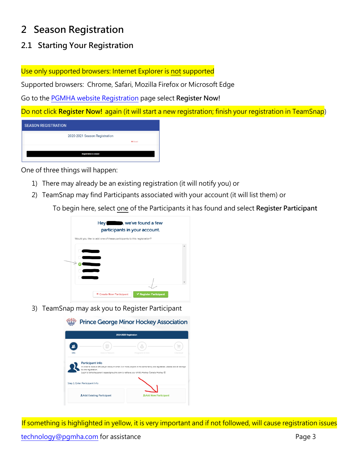# <span id="page-2-0"></span>**2 Season Registration**

### <span id="page-2-1"></span>**2.1 Starting Your Registration**

Use only supported browsers: Internet Explorer is not supported

Supported browsers: Chrome, Safari, Mozilla Firefox or Microsoft Edge

Go to the [PGMHA website Registration](https://pgmha.com/registration/) page select **Register Now!**

Do not click **Register Now!** again (it will start a new registration; finish your registration in TeamSnap)

| <b>SEASON REGISTRATION</b>    |                 |
|-------------------------------|-----------------|
| 2020-2021 Season Registration |                 |
|                               | <b>O</b> Closed |
|                               |                 |
| <b>Registration is closed</b> |                 |

One of three things will happen:

**CONTINUES** 

- 1) There may already be an existing registration (it will notify you) or
- 2) TeamSnap may find Participants associated with your account (it will list them) or

To begin here, select one of the Participants it has found and select **Register Participant**

| Hey Ne've found a few<br>participants in your account.                |                               |  |
|-----------------------------------------------------------------------|-------------------------------|--|
| Would you like to add one of these participants to this registration? |                               |  |
|                                                                       |                               |  |
|                                                                       |                               |  |
|                                                                       |                               |  |
|                                                                       |                               |  |
|                                                                       |                               |  |
|                                                                       |                               |  |
| <b>X</b> Create New Participant                                       | <b>√ Register Participant</b> |  |

3) TeamSnap may ask you to Register Participant

**Prince George Minor Hockey Association** 2019-2020 Re  $\mathbf{R}$  $\qquad \qquad \qquad \qquad \qquad \qquad \qquad \qquad \qquad \qquad$ **Participant Info** Step 1: Enter Participant Info **2**. Add Existing Participant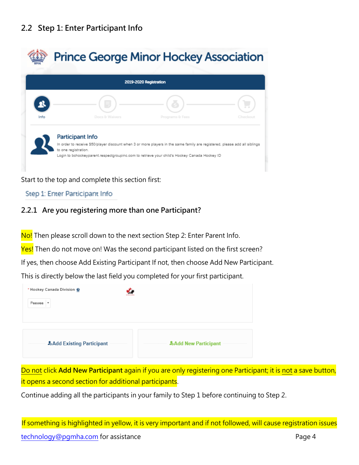### <span id="page-3-0"></span>**2.2 Step 1: Enter Participant Info**

|      |                         | 2019-2020 Registration |          |
|------|-------------------------|------------------------|----------|
|      |                         |                        |          |
| Info | Docs & Waivers          | Programs & Fees        | Checkout |
|      | <b>Participant Info</b> |                        |          |

Start to the top and complete this section first:

#### Step 1: Enter Participant Info

#### <span id="page-3-1"></span>**2.2.1 Are you registering more than one Participant?**

No! Then please scroll down to the next section Step 2: Enter Parent Info.

Yes! Then do not move on! Was the second participant listed on the first screen?

If yes, then choose Add Existing Participant If not, then choose Add New Participant.

This is directly below the last field you completed for your first participant.

| * Hockey Canada Division @      |                                |
|---------------------------------|--------------------------------|
| Peewee <b>v</b>                 |                                |
|                                 |                                |
|                                 |                                |
| <b>Add Existing Participant</b> | <b>Add New Participant</b><br> |

Do not click **Add New Participant** again if you are only registering one Participant; it is not a save button, it opens a second section for additional participants.

Continue adding all the participants in your family to Step 1 before continuing to Step 2.

If something is highlighted in yellow, it is very important and if not followed, will cause registration issues [technology@pgmha.com](mailto:technology@pgmha.com) for assistance example the example of the Page 4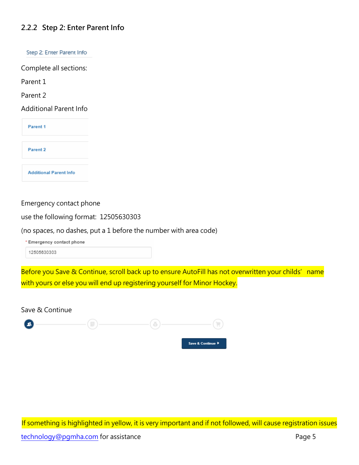#### <span id="page-4-0"></span>**2.2.2 Step 2: Enter Parent Info**

Step 2: Enter Parent Info

Complete all sections:

Parent 1

Parent 2

Additional Parent Info

Parent 1

Parent 2

**Additional Parent Info** 

#### Emergency contact phone

use the following format: 12505630303

(no spaces, no dashes, put a 1 before the number with area code)

\* Emergency contact phone

12505630303

Before you Save & Continue, scroll back up to ensure AutoFill has not overwritten your childs' name with yours or else you will end up registering yourself for Minor Hockey.

Save & Continue

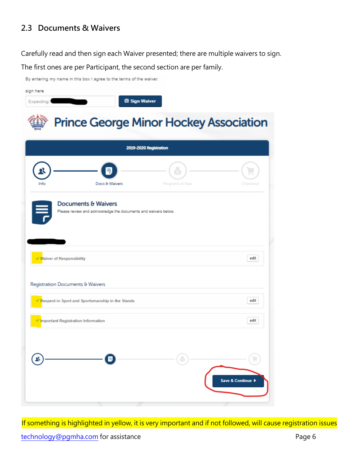### <span id="page-5-0"></span>**2.3 Documents & Waivers**

By entering my name in this box I agree to the terms of the waiver.

Carefully read and then sign each Waiver presented; there are multiple waivers to sign.

The first ones are per Participant, the second section are per family.

| sign here<br>Expecting:                                                                          | <b>図</b> Sign Waiver                          |
|--------------------------------------------------------------------------------------------------|-----------------------------------------------|
|                                                                                                  | <b>Prince George Minor Hockey Association</b> |
|                                                                                                  | 2019-2020 Registration                        |
| Info<br>Docs & Waivers                                                                           | Programs & Fees<br>Checkout                   |
| <b>Documents &amp; Waivers</b><br>Please review and acknowledge the documents and waivers below. |                                               |
| √ Waiver of Responsibility                                                                       | edit                                          |
| Registration Documents & Waivers                                                                 |                                               |
| V Respect in Sport and Sportsmanship in the Stands                                               | edit                                          |
| <b>Important Registration Information</b>                                                        | edit                                          |
|                                                                                                  | Save & Continue ▶                             |

If something is highlighted in yellow, it is very important and if not followed, will cause registration issues [technology@pgmha.com](mailto:technology@pgmha.com) for assistance example and the example of the Page 6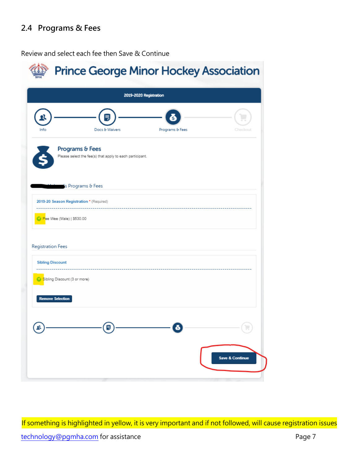### <span id="page-6-0"></span>**2.4 Programs & Fees**

Review and select each fee then Save & Continue

| <b>Prince George Minor Hockey Association</b>                               |                            |
|-----------------------------------------------------------------------------|----------------------------|
| 2019-2020 Registration                                                      |                            |
| Docs & Waivers<br>Programs & Fees<br>Info                                   | Checkout                   |
| Programs & Fees<br>Please select the fee(s) that apply to each participant. |                            |
| is Programs & Fees                                                          |                            |
| 2019-20 Season Registration * (Required)                                    |                            |
| C Pee Wee (Male)   \$530.00                                                 |                            |
| Registration Fees                                                           |                            |
| <b>Sibling Discount</b>                                                     |                            |
| Sibling Discount (3 or more)                                                |                            |
| <b>Remove Selection</b>                                                     |                            |
| ē<br>욕<br>Ε                                                                 |                            |
|                                                                             | <b>Save &amp; Continue</b> |

If something is highlighted in yellow, it is very important and if not followed, will cause registration issues [technology@pgmha.com](mailto:technology@pgmha.com) for assistance example 2 and 2 and 2 and 2 and 2 and 2 and 2 and 2 and 2 and 2 and 2 and 2 and 2 and 2 and 2 and 2 and 2 and 2 and 2 and 2 and 2 and 2 and 2 and 2 and 2 and 2 and 2 and 2 and 2 and 2 an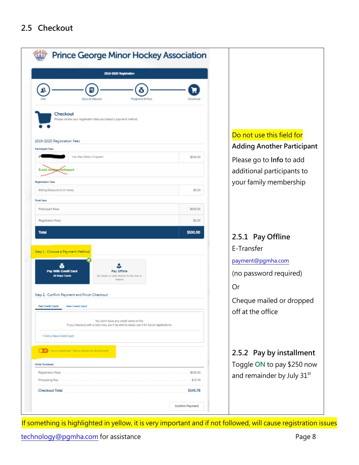### <span id="page-7-0"></span>**2.5 Checkout**

<span id="page-7-2"></span><span id="page-7-1"></span>

| 2019-2020 Registration                                                                                                                 |          |                                                                      |
|----------------------------------------------------------------------------------------------------------------------------------------|----------|----------------------------------------------------------------------|
| Docs & Waivers<br>Programs & Fees                                                                                                      | Chediou  |                                                                      |
| Checkout<br>Please review your registration fees and select a payment method.<br>2019-2020 Registration Fees                           |          | Do not use this field for<br><b>Adding Another Participant</b>       |
| Participant Fees<br>Pas Wee (Male) (Program)                                                                                           | \$530.00 |                                                                      |
|                                                                                                                                        |          | Please go to Info to add<br>additional participants to               |
| Registration Fees<br>Sibling Discount (3 or more)                                                                                      | \$0.00   | your family membership                                               |
| <b>Total Fees</b>                                                                                                                      |          |                                                                      |
| Participant Fees                                                                                                                       | \$530.00 |                                                                      |
| Registration Fees                                                                                                                      | \$0.00   |                                                                      |
| <b>Total</b><br>Step 1 : Choose a Payment Method                                                                                       | \$530.00 | 2.5.1 Pay Offline<br>E-Transfer                                      |
|                                                                                                                                        |          | payment@pgmha.com                                                    |
| Pay With Credit Card<br>Pay Offline<br><b>All Major Cards</b><br>By check or cash directly to the club or<br>league                    |          | (no password required)<br>Or                                         |
| Step 2 : Confirm Payment and Finish Checkout<br>Past Credit Cards<br>New Credit Card                                                   |          | Cheque mailed or dropped<br>off at the office                        |
| You don't have any credit cards on file.<br>If you checkout with a card now, you'll be able to easily use it for future registrations. |          |                                                                      |
| + Add a New Credit Card                                                                                                                |          |                                                                      |
| (Fig. 1 Pay by mataliment "lotal is civided into 2 payments                                                                            |          | 2.5.2 Pay by installment                                             |
| Order Summary                                                                                                                          |          |                                                                      |
| Registration Fees                                                                                                                      | \$530.00 |                                                                      |
| Processing Fee                                                                                                                         | \$15.78  | Toggle ON to pay \$250 now<br>and remainder by July 31 <sup>st</sup> |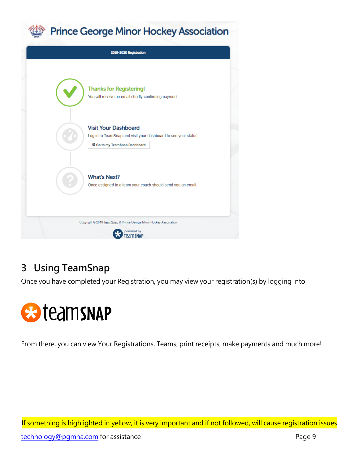



# <span id="page-8-0"></span>**3 Using TeamSnap**

Once you have completed your Registration, you may view your registration(s) by logging into



From there, you can view Your Registrations, Teams, print receipts, make payments and much more!